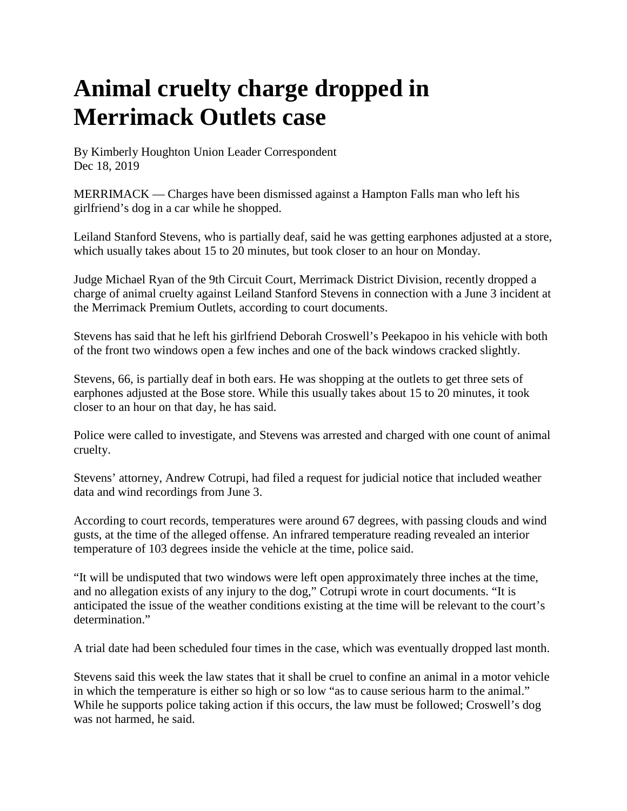## **Animal cruelty charge dropped in Merrimack Outlets case**

[By Kimberly Houghton Union Leader Correspondent](https://www.unionleader.com/users/profile/Kimberly%20Houghton)  Dec 18, 2019

MERRIMACK — Charges have been dismissed against a Hampton Falls man who left his girlfriend's dog in a car while he shopped.

Leiland Stanford Stevens, who is partially deaf, said he was getting earphones adjusted at a store, which usually takes about 15 to 20 minutes, but took closer to an hour on Monday.

Judge Michael Ryan of the 9th Circuit Court, Merrimack District Division, recently dropped a charge of animal cruelty against Leiland Stanford Stevens in connection with a June 3 incident at the Merrimack Premium Outlets, according to court documents.

Stevens has said that he left his girlfriend Deborah Croswell's Peekapoo in his vehicle with both of the front two windows open a few inches and one of the back windows cracked slightly.

Stevens, 66, is partially deaf in both ears. He was shopping at the outlets to get three sets of earphones adjusted at the Bose store. While this usually takes about 15 to 20 minutes, it took closer to an hour on that day, he has said.

Police were called to investigate, and Stevens was arrested and charged with one count of animal cruelty.

Stevens' attorney, Andrew Cotrupi, had filed a request for judicial notice that included weather data and wind recordings from June 3.

According to court records, temperatures were around 67 degrees, with passing clouds and wind gusts, at the time of the alleged offense. An infrared temperature reading revealed an interior temperature of 103 degrees inside the vehicle at the time, police said.

"It will be undisputed that two windows were left open approximately three inches at the time, and no allegation exists of any injury to the dog," Cotrupi wrote in court documents. "It is anticipated the issue of the weather conditions existing at the time will be relevant to the court's determination."

A trial date had been scheduled four times in the case, which was eventually dropped last month.

Stevens said this week the law states that it shall be cruel to confine an animal in a motor vehicle in which the temperature is either so high or so low "as to cause serious harm to the animal." While he supports police taking action if this occurs, the law must be followed; Croswell's dog was not harmed, he said.